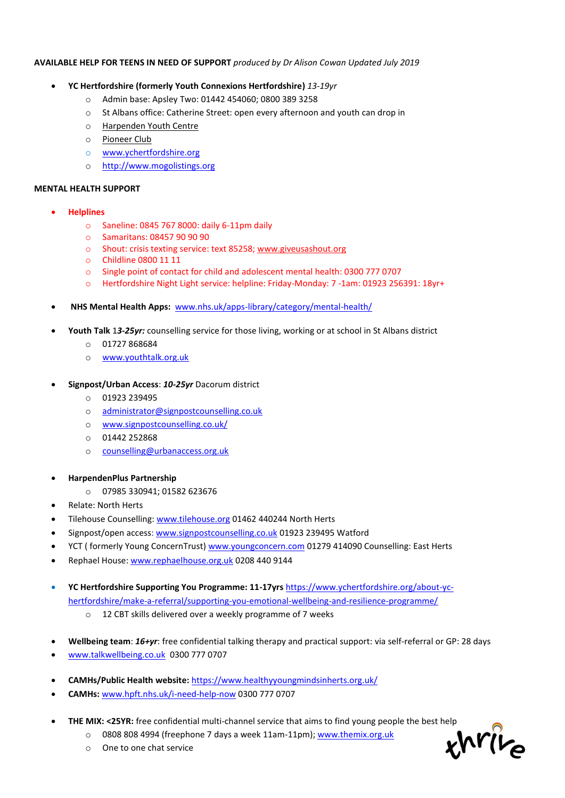### **AVAILABLE HELP FOR TEENS IN NEED OF SUPPORT** *produced by Dr Alison Cowan Updated July 2019*

- **YC Hertfordshire (formerly Youth Connexions Hertfordshire)** *13-19yr*
	- o Admin base: Apsley Two: 01442 454060; 0800 389 3258
	- o St Albans office: Catherine Street: open every afternoon and youth can drop in
	- o Harpenden Youth Centre
	- o Pioneer Club
	- o [www.ychertfordshire.org](http://www.ychertfordshire.org/)
	- o [http://www.mogolistings.org](http://www.mogolistings.org/)

#### **MENTAL HEALTH SUPPORT**

- **Helplines**
	- o Saneline: 0845 767 8000: daily 6-11pm daily
	- o Samaritans: 08457 90 90 90
	- o Shout: crisis texting service: text 85258; [www.giveusashout.org](http://www.giveusashout.org/)
	- o Childline 0800 11 11
	- o Single point of contact for child and adolescent mental health: 0300 777 0707
	- o Hertfordshire Night Light service: helpline: Friday-Monday: 7 -1am: 01923 256391: 18yr+
- **NHS Mental Health Apps:** [www.nhs.uk/apps-library/category/mental-health/](http://www.nhs.uk/apps-library/category/mental-health/)
- **Youth Talk** 1*3-25yr:* counselling service for those living, working or at school in St Albans district
	- o 01727 868684
	- o [www.youthtalk.org.uk](http://www.youthtalk.org.uk/)
- **Signpost/Urban Access**: *10-25yr* Dacorum district
	- o 01923 239495
	- o [administrator@signpostcounselling.co.uk](mailto:administrator@signpostcounselling.co.uk)
	- o [www.signpostcounselling.co.uk/](http://www.signpostcounselling.co.uk/)
	- o 01442 252868
	- o [counselling@urbanaccess.org.uk](mailto:counselling@urbanaccess.org.uk)
- **HarpendenPlus Partnership**
	- o 07985 330941; 01582 623676
- Relate: North Herts
- Tilehouse Counselling: [www.tilehouse.org](http://www.tilehouse.org/) 01462 440244 North Herts
- Signpost/open access[: www.signpostcounselling.co.uk](http://www.signpostcounselling.co.uk/) 01923 239495 Watford
- YCT ( formerly Young ConcernTrust[\) www.youngconcern.com](http://www.youngconcern.com/) 01279 414090 Counselling: East Herts
- Rephael House: [www.rephaelhouse.org.uk](http://www.rephaelhouse.org.uk/) 0208 440 9144
- **YC Hertfordshire Supporting You Programme: 11-17yrs** [https://www.ychertfordshire.org/about-yc](https://www.ychertfordshire.org/about-yc-hertfordshire/make-a-referral/supporting-you-emotional-wellbeing-and-resilience-programme/)[hertfordshire/make-a-referral/supporting-you-emotional-wellbeing-and-resilience-programme/](https://www.ychertfordshire.org/about-yc-hertfordshire/make-a-referral/supporting-you-emotional-wellbeing-and-resilience-programme/)
	- o 12 CBT skills delivered over a weekly programme of 7 weeks
- **Wellbeing team**: *16+yr*: free confidential talking therapy and practical support: via self-referral or GP: 28 days
- [www.talkwellbeing.co.uk](http://www.talkwellbeing.co.uk/) 0300 777 0707
- **CAMHs/Public Health website:** <https://www.healthyyoungmindsinherts.org.uk/>
- **CAMHs:** [www.hpft.nhs.uk/i-need-help-now](http://www.hpft.nhs.uk/i-need-help-now) 0300 777 0707
- **THE MIX: <25YR:** free confidential multi-channel service that aims to find young people the best help
	- o 0808 808 4994 (freephone 7 days a week 11am-11pm)[; www.themix.org.uk](http://www.themix.org.uk/)
	- o One to one chat service

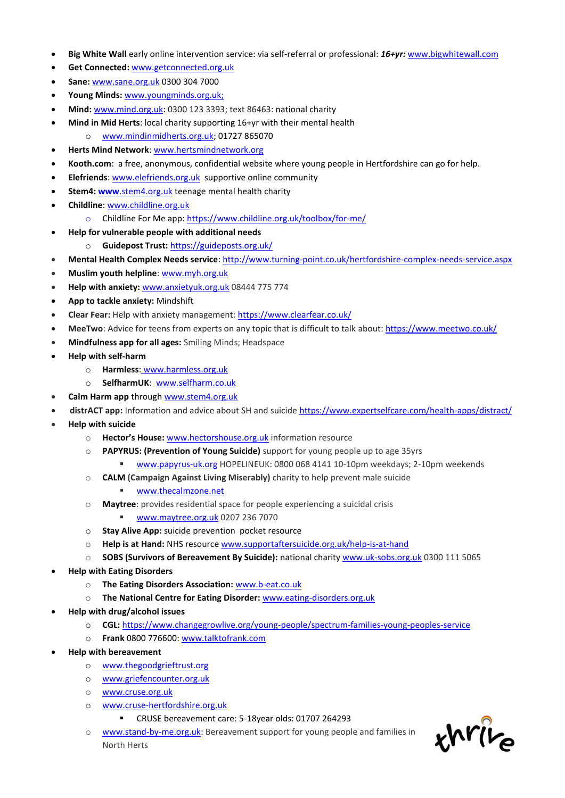- **Big White Wall** early online intervention service: via self-referral or professional: *16+yr:* [www.bigwhitewall.com](http://www.bigwhitewall.com/)
- **Get Connected:** [www.getconnected.org.uk](http://www.getconnected.org.uk/)
- **Sane:** [www.sane.org.uk](http://www.sane.org.uk/) 0300 304 7000
- **Young Minds:** [www.youngminds.org.uk;](http://www.youngminds.org.uk/)
- **Mind:** [www.mind.org.uk:](http://www.mind.org.uk/) 0300 123 3393; text 86463: national charity
- **Mind in Mid Herts**: local charity supporting 16+yr with their mental health
	- o [www.mindinmidherts.org.uk;](http://www.mindinmidherts.org.uk/) 01727 865070
- **Herts Mind Network**: [www.hertsmindnetwork.org](http://www.hertsmindnetwork.org/)
- **Kooth.com**: a free, anonymous, confidential website where young people in Hertfordshire can go for help.
- **Elefriends**: [www.elefriends.org.uk](http://www.elefriends.org.uk/) supportive online community
- **Stem4: www[.stem4.org.uk](http://www.stem4.org.uk/) teenage mental health charity**
- **Childline**: [www.childline.org.uk](http://www.childline.org.uk/)
	- o Childline For Me app:<https://www.childline.org.uk/toolbox/for-me/>
- **Help for vulnerable people with additional needs**
	- o **Guidepost Trust:** <https://guideposts.org.uk/>
- **Mental Health Complex Needs service**:<http://www.turning-point.co.uk/hertfordshire-complex-needs-service.aspx>
- **Muslim youth helpline**: [www.myh.org.uk](http://www.myh.org.uk/)
- **Help with anxiety:** [www.anxietyuk.org.uk](http://www.anxietyuk.org.uk/) 08444 775 774
- **App to tackle anxiety:** Mindshift
- **Clear Fear:** Help with anxiety management: <https://www.clearfear.co.uk/>
- **MeeTwo**: Advice for teens from experts on any topic that is difficult to talk about: <https://www.meetwo.co.uk/>
- **Mindfulness app for all ages:** Smiling Minds; Headspace
- **Help with self-harm**
	- o **Harmless**: [www.harmless.org.uk](http://www.harmless.org.uk/)
	- o **SelfharmUK**: [www.selfharm.co.uk](http://www.selfharm.co.uk/)
- **Calm Harm app** through [www.stem4.org.uk](http://www.stem4.org.uk/)
- **distrACT app:** Information and advice about SH and suicide <https://www.expertselfcare.com/health-apps/distract/>
- **Help with suicide**
	- o **Hector's House:** [www.hectorshouse.org.uk](http://www.hectorshouse.org.uk/) information resource
	- o **PAPYRUS: (Prevention of Young Suicide)** support for young people up to age 35yrs
		- [www.papyrus-uk.org](http://www.papyrus-uk.org/) HOPELINEUK: 0800 068 4141 10-10pm weekdays; 2-10pm weekends
	- o **CALM (Campaign Against Living Miserably)** charity to help prevent male suicide
		- [www.thecalmzone.net](http://www.thecalmzone.net/)
	- o **Maytree**: provides residential space for people experiencing a suicidal crisis
		- [www.maytree.org.uk](http://www.maytree.org.uk/) 0207 236 7070
	- o **Stay Alive App:** suicide prevention pocket resource
	- o **Help is at Hand:** NHS resource [www.supportaftersuicide.org.uk/help-is-at-hand](http://www.supportaftersuicide.org.uk/help-is-at-hand)
	- o **SOBS (Survivors of Bereavement By Suicide):** national charity [www.uk-sobs.org.uk](http://www.uk-sobs.org.uk/) 0300 111 5065
- **Help with Eating Disorders**
	- o **The Eating Disorders Association:** [www.b-eat.co.uk](http://www.b-eat.co.uk/)
	- o **The National Centre for Eating Disorder:** [www.eating-disorders.org.uk](http://www.eating-disorders.org.uk/)
- **Help with drug/alcohol issues**
	- o **CGL:** <https://www.changegrowlive.org/young-people/spectrum-families-young-peoples-service>
	- o **Frank** 0800 776600[: www.talktofrank.com](http://www.talktofrank.com/)
- **Help with bereavement**
	- o [www.thegoodgrieftrust.org](http://www.thegoodgrieftrust.org/)
	- o [www.griefencounter.org.uk](http://www.griefencounter.org.uk/)
	- o [www.cruse.org.uk](http://www.cruse.org.uk/)
	- o [www.cruse-hertfordshire.org.uk](http://www.cruse-hertfordshire.org.uk/)
		- CRUSE bereavement care: 5-18year olds: 01707 264293
	- o [www.stand-by-me.org.uk:](http://www.stand-by-me.org.uk/) Bereavement support for young people and families in North Herts

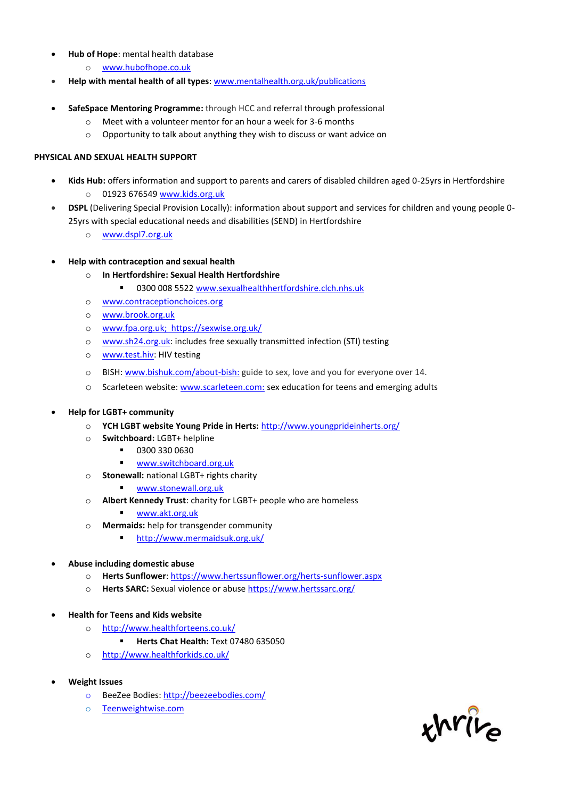- **Hub of Hope**: mental health database
	- o [www.hubofhope.co.uk](http://www.hubofhope.co.uk/)
- **Help with mental health of all types**[: www.mentalhealth.org.uk/publications](http://www.mentalhealth.org.uk/publications)
- **SafeSpace Mentoring Programme:** through HCC and referral through professional
	- o Meet with a volunteer mentor for an hour a week for 3-6 months
	- o Opportunity to talk about anything they wish to discuss or want advice on

## **PHYSICAL AND SEXUAL HEALTH SUPPORT**

- **Kids Hub:** offers information and support to parents and carers of disabled children aged 0-25yrs in Hertfordshire o 01923 676549 [www.kids.org.uk](http://www.kids.org.uk/)
- **DSPL** (Delivering Special Provision Locally): information about support and services for children and young people 0- 25yrs with special educational needs and disabilities (SEND) in Hertfordshire
	- o [www.dspl7.org.uk](http://www.dspl7.org.uk/)
- **Help with contraception and sexual health** 
	- o **In Hertfordshire: Sexual Health Hertfordshire**
		- 0300 008 5522 [www.sexualhealthhertfordshire.clch.nhs.uk](http://www.sexualhealthhertfordshire.clch.nhs.uk/)
	- o [www.contraceptionchoices.org](http://www.contraceptionchoices.org/)
	- o [www.brook.org.uk](http://www.brook.org.uk/)
	- o [www.fpa.org.uk;](http://www.fpa.org.uk/) https://sexwise.org.uk/
	- o [www.sh24.org.uk:](http://www.sh24.org.uk/) includes free sexually transmitted infection (STI) testing
	- o [www.test.hiv:](http://www.test.hiv/) HIV testing
	- o BISH[: www.bishuk.com/about-bish:](http://www.bishuk.com/about-bish) guide to sex, love and you for everyone over 14.
	- o Scarleteen website: [www.scarleteen.com:](http://www.scarleteen.com/) sex education for teens and emerging adults
- **Help for LGBT+ community**
	- o **YCH LGBT website Young Pride in Herts:** <http://www.youngprideinherts.org/>
	- o **Switchboard:** LGBT+ helpline
		- 0300 330 0630
		- [www.switchboard.org.uk](http://www.switchboard.org.uk/)
	- o **Stonewall:** national LGBT+ rights charity
		- [www.stonewall.org.uk](http://www.stonewall.org.uk/)
	- o **Albert Kennedy Trust**: charity for LGBT+ people who are homeless
		- [www.akt.org.uk](http://www.akt.org.uk/)
	- o **Mermaids:** help for transgender community
		- **Intertal <http://www.mermaidsuk.org.uk/>**
- **Abuse including domestic abuse**
	- o **Herts Sunflower**:<https://www.hertssunflower.org/herts-sunflower.aspx>
	- o **Herts SARC:** Sexual violence or abuse <https://www.hertssarc.org/>
- **Health for Teens and Kids website**
	- o <http://www.healthforteens.co.uk/>
		- **Herts Chat Health:** Text 07480 635050
	- o <http://www.healthforkids.co.uk/>
- **Weight Issues**
	- o BeeZee Bodies[: http://beezeebodies.com/](http://beezeebodies.com/)
	- o [Teenweightwise.com](http://teenweightwise.com/)

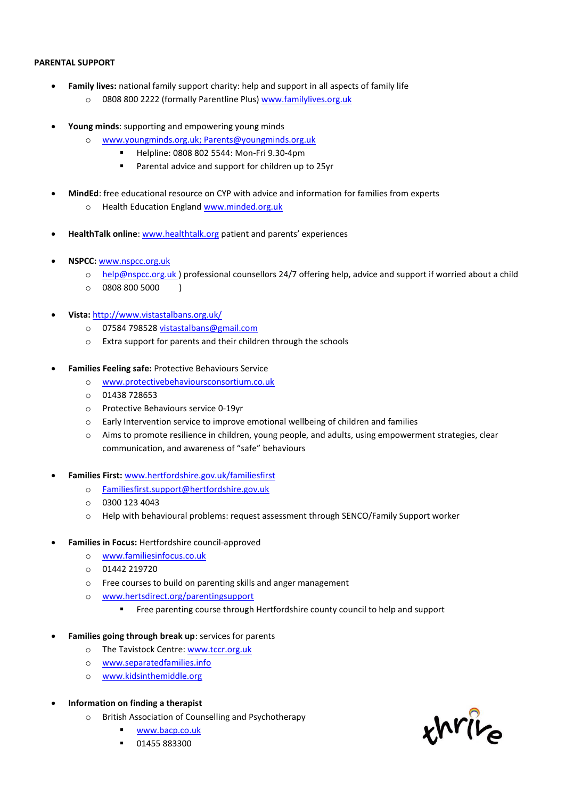### **PARENTAL SUPPORT**

- **Family lives:** national family support charity: help and support in all aspects of family life
	- o 0808 800 2222 (formally Parentline Plus) [www.familylives.org.uk](http://www.familylives.org.uk/)
- **Young minds**: supporting and empowering young minds
	- o [www.youngminds.org.uk;](http://www.youngminds.org.uk/) [Parents@youngminds.org.uk](mailto:Parents@youngminds.org.uk)
		- Helpline: 0808 802 5544: Mon-Fri 9.30-4pm
		- Parental advice and support for children up to 25yr
- **MindEd**: free educational resource on CYP with advice and information for families from experts
	- o Health Education England [www.minded.org.uk](http://www.minded.org.uk/)
- **HealthTalk online**: [www.healthtalk.org](http://www.healthtalk.org/) patient and parents' experiences
- **NSPCC:** [www.nspcc.org.uk](http://www.nspcc.org.uk/)
	- o [help@nspcc.org.uk](mailto:help@nspcc.org.uk) ) professional counsellors 24/7 offering help, advice and support if worried about a child
	- $\circ$  0808 800 5000 )
- **Vista:** <http://www.vistastalbans.org.uk/>
	- o 07584 798528 [vistastalbans@gmail.com](mailto:vistastalbans@gmail.com)
	- o Extra support for parents and their children through the schools
- **Families Feeling safe:** Protective Behaviours Service
	- o [www.protectivebehavioursconsortium.co.uk](http://www.protectivebehavioursconsortium.co.uk/)
	- o 01438 728653
	- o Protective Behaviours service 0-19yr
	- $\circ$  Early Intervention service to improve emotional wellbeing of children and families
	- o Aims to promote resilience in children, young people, and adults, using empowerment strategies, clear communication, and awareness of "safe" behaviours
- **Families First:** [www.hertfordshire.gov.uk/familiesfirst](http://www.hertfordshire.gov.uk/familiesfirst)
	- o [Familiesfirst.support@hertfordshire.gov.uk](mailto:Familiesfirst.support@hertfordshire.gov.uk)
	- $O$  0300 123 4043
	- o Help with behavioural problems: request assessment through SENCO/Family Support worker
- **Families in Focus:** Hertfordshire council-approved
	- o [www.familiesinfocus.co.uk](http://www.familiesinfocus.co.uk/)
	- o 01442 219720
	- o Free courses to build on parenting skills and anger management
	- o [www.hertsdirect.org/parentingsupport](http://www.hertsdirect.org/parentingsupport)
		- Free parenting course through Hertfordshire county council to help and support
- **Families going through break up**: services for parents
	- o The Tavistock Centre[: www.tccr.org.uk](http://www.tccr.org.uk/)
	- o [www.separatedfamilies.info](http://www.separatedfamilies.info/)
	- o [www.kidsinthemiddle.org](http://www.kidsinthemiddle.org/)
- **Information on finding a therapist**
	- o British Association of Counselling and Psychotherapy
		- [www.bacp.co.uk](http://www.bacp.co.uk/)
		- 01455 883300